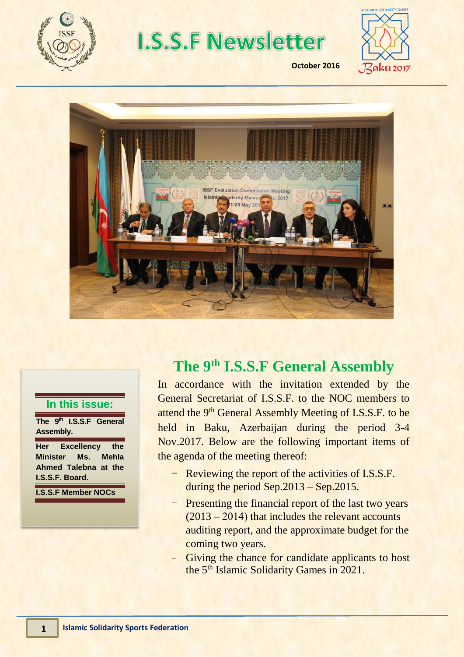

# **I.S.S.F Newsletter**



**October 2016**



#### **In this issue:**

**The 9th I.S.S.F General Assembly.**

**Her Excellency the Minister Ms. Mehla Ahmed Talebna at the I.S.S.F. Board.**

**I.S.S.F Member NOCs**

## **The 9th I.S.S.F General Assembly**

In accordance with the invitation extended by the General Secretariat of I.S.S.F. to the NOC members to attend the 9<sup>th</sup> General Assembly Meeting of I.S.S.F. to be held in Baku, Azerbaijan during the period 3-4 Nov.2017. Below are the following important items of the agenda of the meeting thereof:

- Reviewing the report of the activities of I.S.S.F. during the period Sep.2013 – Sep.2015.
- Presenting the financial report of the last two years (2013 – 2014) that includes the relevant accounts auditing report, and the approximate budget for the coming two years.
- Giving the chance for candidate applicants to host the 5<sup>th</sup> Islamic Solidarity Games in 2021.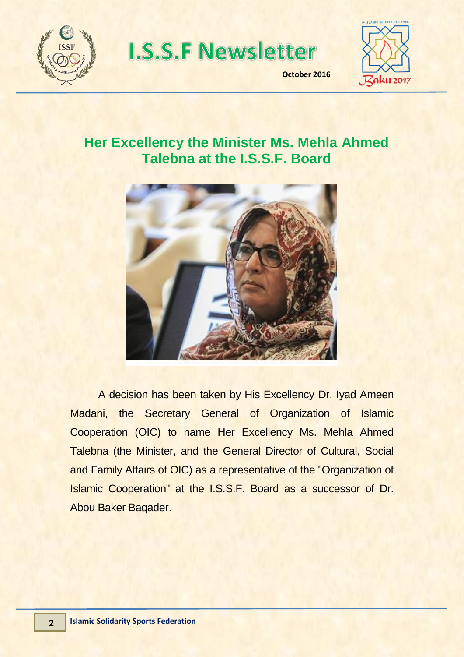

**I.S.S.F Newsletter** 



**October 2016**

**2015**

#### **Her Excellency the Minister Ms. Mehla Ahmed Talebna at the I.S.S.F. Board**



A decision has been taken by His Excellency Dr. Iyad Ameen Madani, the Secretary General of Organization of Islamic Cooperation (OIC) to name Her Excellency Ms. Mehla Ahmed Talebna (the Minister, and the General Director of Cultural, Social and Family Affairs of OIC) as a representative of the "Organization of Islamic Cooperation" at the I.S.S.F. Board as a successor of Dr. Abou Baker Baqader.